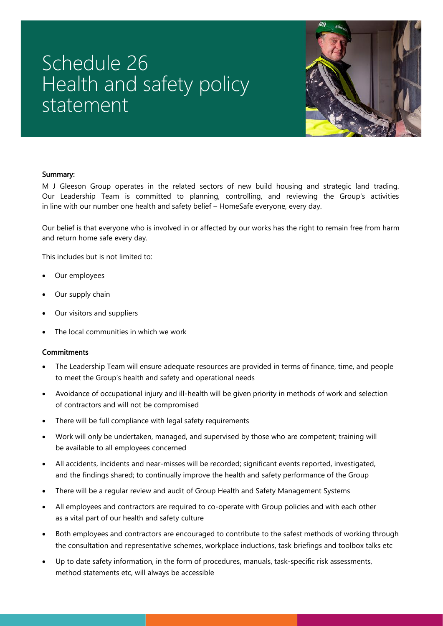## Schedule 26 Health and safety policy statement



## Summary:

M J Gleeson Group operates in the related sectors of new build housing and strategic land trading. Our Leadership Team is committed to planning, controlling, and reviewing the Group's activities in line with our number one health and safety belief – HomeSafe everyone, every day.

Our belief is that everyone who is involved in or affected by our works has the right to remain free from harm and return home safe every day.

This includes but is not limited to:

- Our employees
- Our supply chain
- Our visitors and suppliers
- The local communities in which we work

## **Commitments**

- The Leadership Team will ensure adequate resources are provided in terms of finance, time, and people to meet the Group's health and safety and operational needs
- Avoidance of occupational injury and ill-health will be given priority in methods of work and selection of contractors and will not be compromised
- There will be full compliance with legal safety requirements
- Work will only be undertaken, managed, and supervised by those who are competent; training will be available to all employees concerned
- All accidents, incidents and near-misses will be recorded; significant events reported, investigated, and the findings shared; to continually improve the health and safety performance of the Group
- There will be a regular review and audit of Group Health and Safety Management Systems
- All employees and contractors are required to co-operate with Group policies and with each other as a vital part of our health and safety culture
- Both employees and contractors are encouraged to contribute to the safest methods of working through the consultation and representative schemes, workplace inductions, task briefings and toolbox talks etc
- Up to date safety information, in the form of procedures, manuals, task-specific risk assessments, method statements etc, will always be accessible